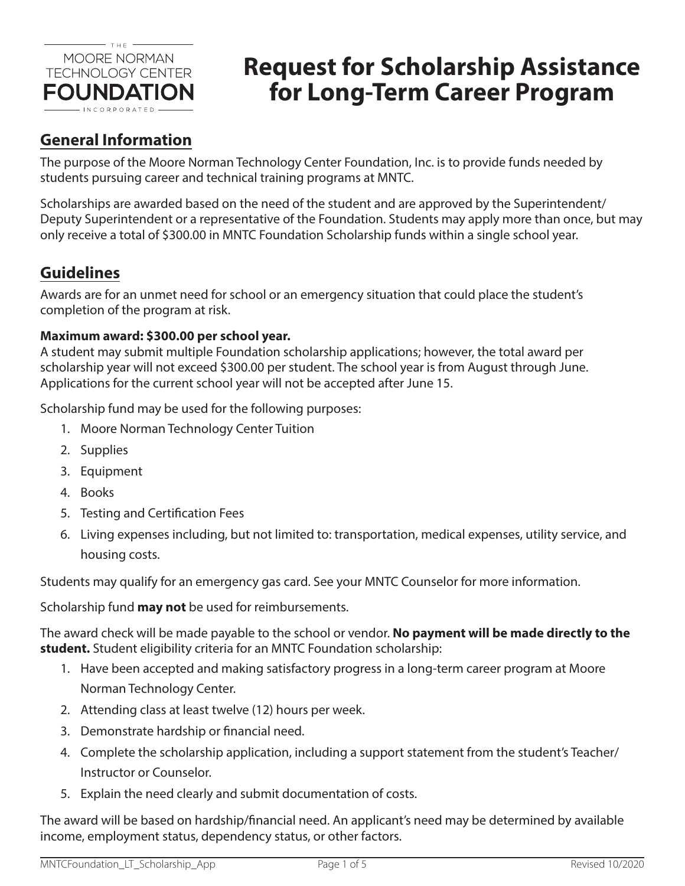

# **Request for Scholarship Assistance for Long-Term Career Program**

## **General Information**

The purpose of the Moore Norman Technology Center Foundation, Inc. is to provide funds needed by students pursuing career and technical training programs at MNTC.

Scholarships are awarded based on the need of the student and are approved by the Superintendent/ Deputy Superintendent or a representative of the Foundation. Students may apply more than once, but may only receive a total of \$300.00 in MNTC Foundation Scholarship funds within a single school year.

## **Guidelines**

Awards are for an unmet need for school or an emergency situation that could place the student's completion of the program at risk.

### **Maximum award: \$300.00 per school year.**

A student may submit multiple Foundation scholarship applications; however, the total award per scholarship year will not exceed \$300.00 per student. The school year is from August through June. Applications for the current school year will not be accepted after June 15.

Scholarship fund may be used for the following purposes:

- 1. Moore Norman Technology Center Tuition
- 2. Supplies
- 3. Equipment
- 4. Books
- 5. Testing and Certification Fees
- 6. Living expenses including, but not limited to: transportation, medical expenses, utility service, and housing costs.

Students may qualify for an emergency gas card. See your MNTC Counselor for more information.

Scholarship fund **may not** be used for reimbursements.

The award check will be made payable to the school or vendor. **No payment will be made directly to the student.** Student eligibility criteria for an MNTC Foundation scholarship:

- 1. Have been accepted and making satisfactory progress in a long-term career program at Moore Norman Technology Center.
- 2. Attending class at least twelve (12) hours per week.
- 3. Demonstrate hardship or financial need.
- 4. Complete the scholarship application, including a support statement from the student's Teacher/ Instructor or Counselor.
- 5. Explain the need clearly and submit documentation of costs.

The award will be based on hardship/financial need. An applicant's need may be determined by available income, employment status, dependency status, or other factors.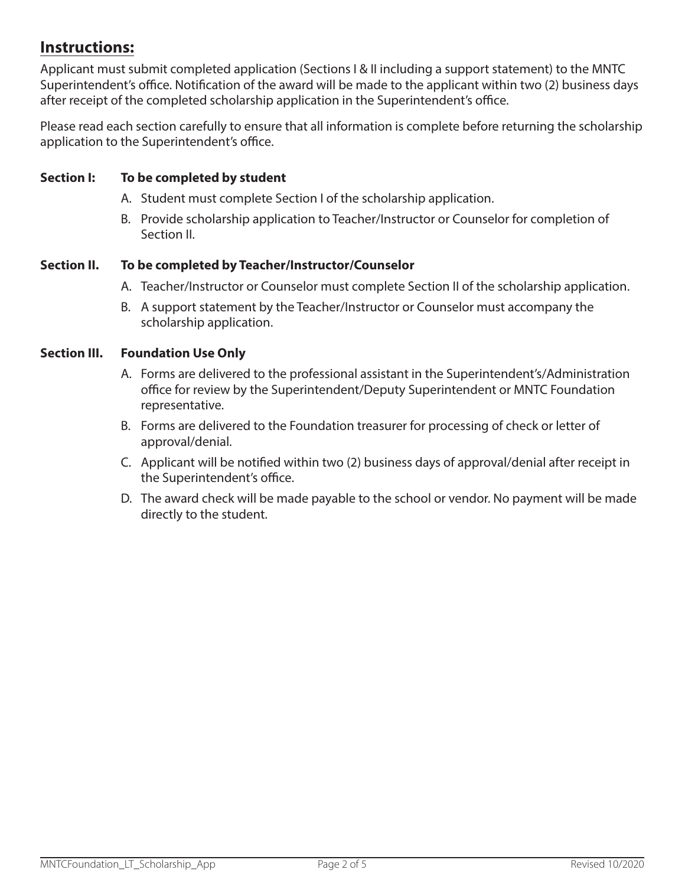### **Instructions:**

Applicant must submit completed application (Sections I & II including a support statement) to the MNTC Superintendent's office. Notification of the award will be made to the applicant within two (2) business days after receipt of the completed scholarship application in the Superintendent's office.

Please read each section carefully to ensure that all information is complete before returning the scholarship application to the Superintendent's office.

### **Section I: To be completed by student**

- A. Student must complete Section I of the scholarship application.
- B. Provide scholarship application to Teacher/Instructor or Counselor for completion of Section II.

#### **Section II. To be completed by Teacher/Instructor/Counselor**

- A. Teacher/Instructor or Counselor must complete Section II of the scholarship application.
- B. A support statement by the Teacher/Instructor or Counselor must accompany the scholarship application.

#### **Section III. Foundation Use Only**

- A. Forms are delivered to the professional assistant in the Superintendent's/Administration office for review by the Superintendent/Deputy Superintendent or MNTC Foundation representative.
- B. Forms are delivered to the Foundation treasurer for processing of check or letter of approval/denial.
- C. Applicant will be notified within two (2) business days of approval/denial after receipt in the Superintendent's office.
- D. The award check will be made payable to the school or vendor. No payment will be made directly to the student.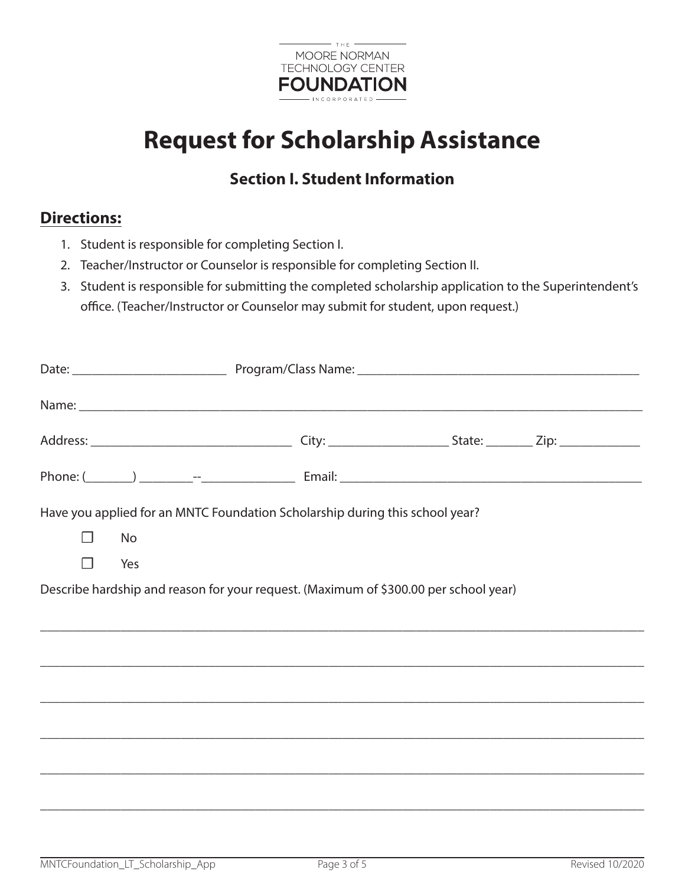

# **Request for Scholarship Assistance**

## **Section I. Student Information**

### **Directions:**

- 1. Student is responsible for completing Section I.
- 2. Teacher/Instructor or Counselor is responsible for completing Section II.
- 3. Student is responsible for submitting the completed scholarship application to the Superintendent's office. (Teacher/Instructor or Counselor may submit for student, upon request.)

|         |     | Have you applied for an MNTC Foundation Scholarship during this school year?         |  |
|---------|-----|--------------------------------------------------------------------------------------|--|
| $\perp$ | No  |                                                                                      |  |
| П       | Yes |                                                                                      |  |
|         |     | Describe hardship and reason for your request. (Maximum of \$300.00 per school year) |  |
|         |     | ,我们也不能会在这里,我们也不能会在这里,我们也不能会在这里,我们也不能会在这里,我们也不能会在这里,我们也不能会在这里,我们也不能会在这里,我们也不能会在这里     |  |
|         |     |                                                                                      |  |
|         |     |                                                                                      |  |
|         |     |                                                                                      |  |
|         |     |                                                                                      |  |
|         |     |                                                                                      |  |
|         |     | ,我们也不能会在这里,我们的人们就会不能会在这里,我们也不能会不能会不能会不能会不能会不能会不能会不能会。""我们的人们就会不能会不能会不能会不能会不能会不能会     |  |

\_\_\_\_\_\_\_\_\_\_\_\_\_\_\_\_\_\_\_\_\_\_\_\_\_\_\_\_\_\_\_\_\_\_\_\_\_\_\_\_\_\_\_\_\_\_\_\_\_\_\_\_\_\_\_\_\_\_\_\_\_\_\_\_\_\_\_\_\_\_\_\_\_\_\_\_\_\_\_\_\_\_\_\_\_\_\_\_\_\_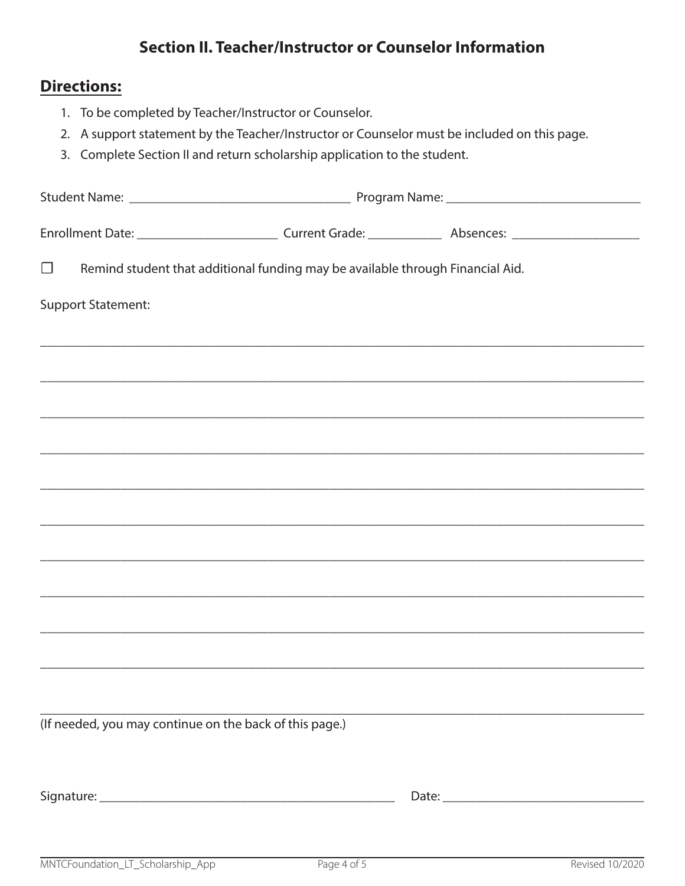## **Section II. Teacher/Instructor or Counselor Information**

### Directions:

- 1. To be completed by Teacher/Instructor or Counselor.
- 2. A support statement by the Teacher/Instructor or Counselor must be included on this page.
- 3. Complete Section II and return scholarship application to the student.

| $\Box$                    |                                                         | Remind student that additional funding may be available through Financial Aid. |  |                                                                                  |
|---------------------------|---------------------------------------------------------|--------------------------------------------------------------------------------|--|----------------------------------------------------------------------------------|
| <b>Support Statement:</b> |                                                         |                                                                                |  |                                                                                  |
|                           |                                                         |                                                                                |  |                                                                                  |
|                           |                                                         |                                                                                |  | ,我们也不能会在这里,我们也不能会在这里,我们也不能会在这里,我们也不能会在这里,我们也不能会在这里,我们也不能会在这里,我们也不能会在这里,我们也不能会不能会 |
|                           |                                                         |                                                                                |  |                                                                                  |
|                           |                                                         |                                                                                |  |                                                                                  |
|                           |                                                         |                                                                                |  |                                                                                  |
|                           |                                                         |                                                                                |  |                                                                                  |
|                           |                                                         |                                                                                |  |                                                                                  |
|                           |                                                         |                                                                                |  |                                                                                  |
|                           |                                                         |                                                                                |  |                                                                                  |
|                           |                                                         |                                                                                |  |                                                                                  |
|                           |                                                         |                                                                                |  |                                                                                  |
|                           | (If needed, you may continue on the back of this page.) |                                                                                |  |                                                                                  |
|                           |                                                         |                                                                                |  |                                                                                  |
|                           |                                                         |                                                                                |  |                                                                                  |
|                           |                                                         |                                                                                |  |                                                                                  |